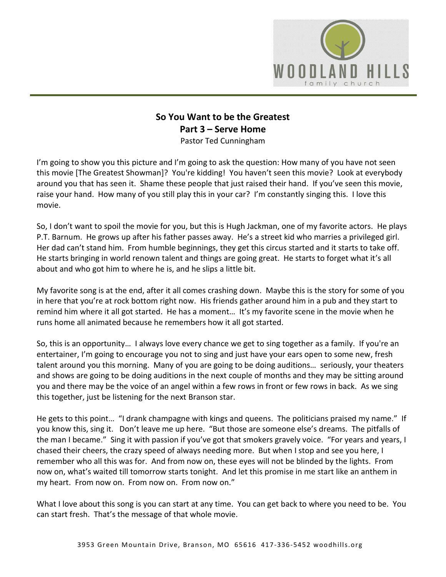

## **So You Want to be the Greatest Part 3 – Serve Home**

Pastor Ted Cunningham

I'm going to show you this picture and I'm going to ask the question: How many of you have not seen this movie [The Greatest Showman]? You're kidding! You haven't seen this movie? Look at everybody around you that has seen it. Shame these people that just raised their hand. If you've seen this movie, raise your hand. How many of you still play this in your car? I'm constantly singing this. I love this movie.

So, I don't want to spoil the movie for you, but this is Hugh Jackman, one of my favorite actors. He plays P.T. Barnum. He grows up after his father passes away. He's a street kid who marries a privileged girl. Her dad can't stand him. From humble beginnings, they get this circus started and it starts to take off. He starts bringing in world renown talent and things are going great. He starts to forget what it's all about and who got him to where he is, and he slips a little bit.

My favorite song is at the end, after it all comes crashing down. Maybe this is the story for some of you in here that you're at rock bottom right now. His friends gather around him in a pub and they start to remind him where it all got started. He has a moment… It's my favorite scene in the movie when he runs home all animated because he remembers how it all got started.

So, this is an opportunity… I always love every chance we get to sing together as a family. If you're an entertainer, I'm going to encourage you not to sing and just have your ears open to some new, fresh talent around you this morning. Many of you are going to be doing auditions… seriously, your theaters and shows are going to be doing auditions in the next couple of months and they may be sitting around you and there may be the voice of an angel within a few rows in front or few rows in back. As we sing this together, just be listening for the next Branson star.

He gets to this point… "I drank champagne with kings and queens. The politicians praised my name." If you know this, sing it. Don't leave me up here. "But those are someone else's dreams. The pitfalls of the man I became." Sing it with passion if you've got that smokers gravely voice. "For years and years, I chased their cheers, the crazy speed of always needing more. But when I stop and see you here, I remember who all this was for. And from now on, these eyes will not be blinded by the lights. From now on, what's waited till tomorrow starts tonight. And let this promise in me start like an anthem in my heart. From now on. From now on. From now on."

What I love about this song is you can start at any time. You can get back to where you need to be. You can start fresh. That's the message of that whole movie.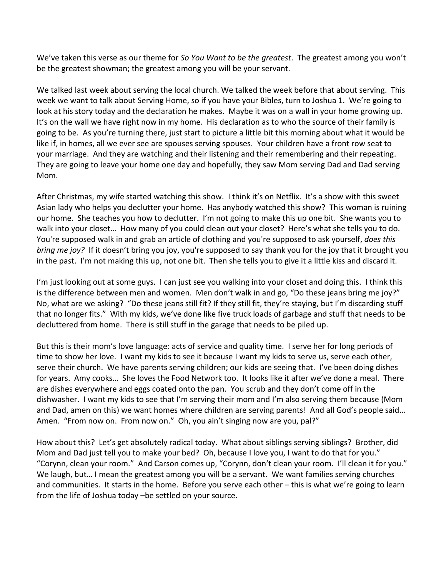We've taken this verse as our theme for *So You Want to be the greatest*. The greatest among you won't be the greatest showman; the greatest among you will be your servant.

We talked last week about serving the local church. We talked the week before that about serving. This week we want to talk about Serving Home, so if you have your Bibles, turn to Joshua 1. We're going to look at his story today and the declaration he makes. Maybe it was on a wall in your home growing up. It's on the wall we have right now in my home. His declaration as to who the source of their family is going to be. As you're turning there, just start to picture a little bit this morning about what it would be like if, in homes, all we ever see are spouses serving spouses. Your children have a front row seat to your marriage. And they are watching and their listening and their remembering and their repeating. They are going to leave your home one day and hopefully, they saw Mom serving Dad and Dad serving Mom.

After Christmas, my wife started watching this show. I think it's on Netflix. It's a show with this sweet Asian lady who helps you declutter your home. Has anybody watched this show? This woman is ruining our home. She teaches you how to declutter. I'm not going to make this up one bit. She wants you to walk into your closet… How many of you could clean out your closet? Here's what she tells you to do. You're supposed walk in and grab an article of clothing and you're supposed to ask yourself, *does this bring me joy?* If it doesn't bring you joy, you're supposed to say thank you for the joy that it brought you in the past. I'm not making this up, not one bit. Then she tells you to give it a little kiss and discard it.

I'm just looking out at some guys. I can just see you walking into your closet and doing this. I think this is the difference between men and women. Men don't walk in and go, "Do these jeans bring me joy?" No, what are we asking? "Do these jeans still fit? If they still fit, they're staying, but I'm discarding stuff that no longer fits." With my kids, we've done like five truck loads of garbage and stuff that needs to be decluttered from home. There is still stuff in the garage that needs to be piled up.

But this is their mom's love language: acts of service and quality time. I serve her for long periods of time to show her love. I want my kids to see it because I want my kids to serve us, serve each other, serve their church. We have parents serving children; our kids are seeing that. I've been doing dishes for years. Amy cooks… She loves the Food Network too. It looks like it after we've done a meal. There are dishes everywhere and eggs coated onto the pan. You scrub and they don't come off in the dishwasher. I want my kids to see that I'm serving their mom and I'm also serving them because (Mom and Dad, amen on this) we want homes where children are serving parents! And all God's people said… Amen. "From now on. From now on." Oh, you ain't singing now are you, pal?"

How about this? Let's get absolutely radical today. What about siblings serving siblings? Brother, did Mom and Dad just tell you to make your bed? Oh, because I love you, I want to do that for you." "Corynn, clean your room." And Carson comes up, "Corynn, don't clean your room. I'll clean it for you." We laugh, but… I mean the greatest among you will be a servant. We want families serving churches and communities. It starts in the home. Before you serve each other – this is what we're going to learn from the life of Joshua today –be settled on your source.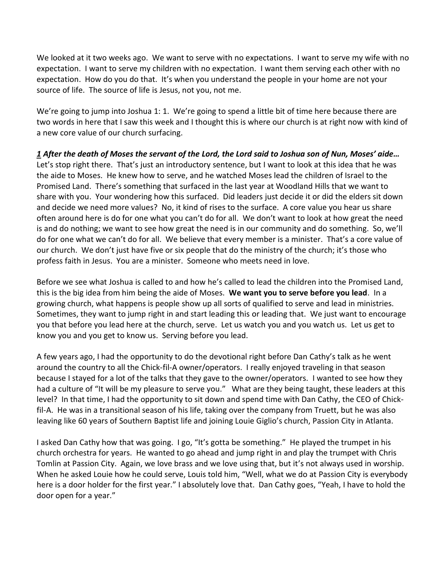We looked at it two weeks ago. We want to serve with no expectations. I want to serve my wife with no expectation. I want to serve my children with no expectation. I want them serving each other with no expectation. How do you do that. It's when you understand the people in your home are not your source of life. The source of life is Jesus, not you, not me.

We're going to jump into Joshua 1: 1. We're going to spend a little bit of time here because there are two words in here that I saw this week and I thought this is where our church is at right now with kind of a new core value of our church surfacing.

*[1](https://www.studylight.org/desk/?q=jos%201:1&t1=en_niv&sr=1) After the death of Moses the servant of the Lord, the Lord said to Joshua son of Nun, Moses' aide…*  Let's stop right there. That's just an introductory sentence, but I want to look at this idea that he was the aide to Moses. He knew how to serve, and he watched Moses lead the children of Israel to the Promised Land. There's something that surfaced in the last year at Woodland Hills that we want to share with you. Your wondering how this surfaced. Did leaders just decide it or did the elders sit down and decide we need more values? No, it kind of rises to the surface. A core value you hear us share often around here is do for one what you can't do for all. We don't want to look at how great the need is and do nothing; we want to see how great the need is in our community and do something. So, we'll do for one what we can't do for all. We believe that every member is a minister. That's a core value of our church. We don't just have five or six people that do the ministry of the church; it's those who profess faith in Jesus. You are a minister. Someone who meets need in love.

Before we see what Joshua is called to and how he's called to lead the children into the Promised Land, this is the big idea from him being the aide of Moses. **We want you to serve before you lead**. In a growing church, what happens is people show up all sorts of qualified to serve and lead in ministries. Sometimes, they want to jump right in and start leading this or leading that. We just want to encourage you that before you lead here at the church, serve. Let us watch you and you watch us. Let us get to know you and you get to know us. Serving before you lead.

A few years ago, I had the opportunity to do the devotional right before Dan Cathy's talk as he went around the country to all the Chick-fil-A owner/operators. I really enjoyed traveling in that season because I stayed for a lot of the talks that they gave to the owner/operators. I wanted to see how they had a culture of "It will be my pleasure to serve you." What are they being taught, these leaders at this level? In that time, I had the opportunity to sit down and spend time with Dan Cathy, the CEO of Chickfil-A. He was in a transitional season of his life, taking over the company from Truett, but he was also leaving like 60 years of Southern Baptist life and joining Louie Giglio's church, Passion City in Atlanta.

I asked Dan Cathy how that was going. I go, "It's gotta be something." He played the trumpet in his church orchestra for years. He wanted to go ahead and jump right in and play the trumpet with Chris Tomlin at Passion City. Again, we love brass and we love using that, but it's not always used in worship. When he asked Louie how he could serve, Louis told him, "Well, what we do at Passion City is everybody here is a door holder for the first year." I absolutely love that. Dan Cathy goes, "Yeah, I have to hold the door open for a year."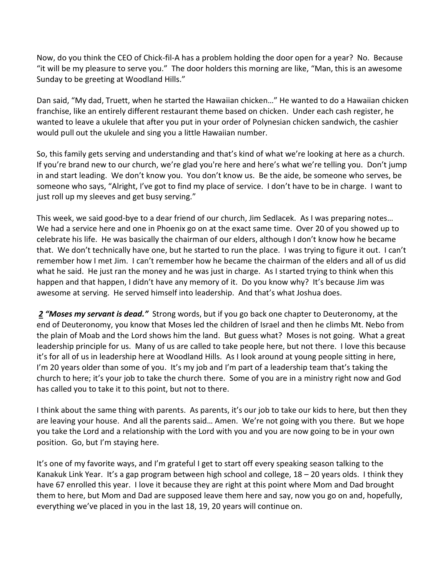Now, do you think the CEO of Chick-fil-A has a problem holding the door open for a year? No. Because "it will be my pleasure to serve you." The door holders this morning are like, "Man, this is an awesome Sunday to be greeting at Woodland Hills."

Dan said, "My dad, Truett, when he started the Hawaiian chicken…" He wanted to do a Hawaiian chicken franchise, like an entirely different restaurant theme based on chicken. Under each cash register, he wanted to leave a ukulele that after you put in your order of Polynesian chicken sandwich, the cashier would pull out the ukulele and sing you a little Hawaiian number.

So, this family gets serving and understanding and that's kind of what we're looking at here as a church. If you're brand new to our church, we're glad you're here and here's what we're telling you. Don't jump in and start leading. We don't know you. You don't know us. Be the aide, be someone who serves, be someone who says, "Alright, I've got to find my place of service. I don't have to be in charge. I want to just roll up my sleeves and get busy serving."

This week, we said good-bye to a dear friend of our church, Jim Sedlacek. As I was preparing notes… We had a service here and one in Phoenix go on at the exact same time. Over 20 of you showed up to celebrate his life. He was basically the chairman of our elders, although I don't know how he became that. We don't technically have one, but he started to run the place. I was trying to figure it out. I can't remember how I met Jim. I can't remember how he became the chairman of the elders and all of us did what he said. He just ran the money and he was just in charge. As I started trying to think when this happen and that happen, I didn't have any memory of it. Do you know why? It's because Jim was awesome at serving. He served himself into leadership. And that's what Joshua does.

*[2](https://www.studylight.org/desk/?q=jos%201:2&t1=en_niv&sr=1) "Moses my servant is dead."* Strong words, but if you go back one chapter to Deuteronomy, at the end of Deuteronomy, you know that Moses led the children of Israel and then he climbs Mt. Nebo from the plain of Moab and the Lord shows him the land. But guess what? Moses is not going. What a great leadership principle for us. Many of us are called to take people here, but not there. I love this because it's for all of us in leadership here at Woodland Hills. As I look around at young people sitting in here, I'm 20 years older than some of you. It's my job and I'm part of a leadership team that's taking the church to here; it's your job to take the church there. Some of you are in a ministry right now and God has called you to take it to this point, but not to there.

I think about the same thing with parents. As parents, it's our job to take our kids to here, but then they are leaving your house. And all the parents said… Amen. We're not going with you there. But we hope you take the Lord and a relationship with the Lord with you and you are now going to be in your own position. Go, but I'm staying here.

It's one of my favorite ways, and I'm grateful I get to start off every speaking season talking to the Kanakuk Link Year. It's a gap program between high school and college, 18 – 20 years olds. I think they have 67 enrolled this year. I love it because they are right at this point where Mom and Dad brought them to here, but Mom and Dad are supposed leave them here and say, now you go on and, hopefully, everything we've placed in you in the last 18, 19, 20 years will continue on.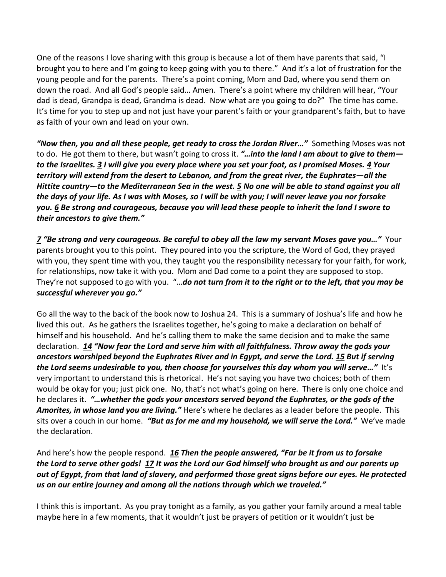One of the reasons I love sharing with this group is because a lot of them have parents that said, "I brought you to here and I'm going to keep going with you to there." And it's a lot of frustration for the young people and for the parents. There's a point coming, Mom and Dad, where you send them on down the road. And all God's people said… Amen. There's a point where my children will hear, "Your dad is dead, Grandpa is dead, Grandma is dead. Now what are you going to do?" The time has come. It's time for you to step up and not just have your parent's faith or your grandparent's faith, but to have as faith of your own and lead on your own.

*"Now then, you and all these people, get ready to cross the Jordan River…"* Something Moses was not to do. He got them to there, but wasn't going to cross it. *"…into the land I am about to give to them to the Israelites. [3](https://www.studylight.org/desk/?q=jos%201:3&t1=en_niv&sr=1) I will give you every place where you set your foot, as I promised Moses. [4](https://www.studylight.org/desk/?q=jos%201:4&t1=en_niv&sr=1) Your territory will extend from the desert to Lebanon, and from the great river, the Euphrates—all the Hittite country—to the Mediterranean Sea in the west. [5](https://www.studylight.org/desk/?q=jos%201:5&t1=en_niv&sr=1) No one will be able to stand against you all the days of your life. As I was with Moses, so I will be with you; I will never leave you nor forsake you. [6](https://www.studylight.org/desk/?q=jos%201:6&t1=en_niv&sr=1) Be strong and courageous, because you will lead these people to inherit the land I swore to their ancestors to give them."*

*[7](https://www.studylight.org/desk/?q=jos%201:7&t1=en_niv&sr=1) "Be strong and very courageous. Be careful to obey all the law my servant Moses gave you…"* Your parents brought you to this point. They poured into you the scripture, the Word of God, they prayed with you, they spent time with you, they taught you the responsibility necessary for your faith, for work, for relationships, now take it with you. Mom and Dad come to a point they are supposed to stop. They're not supposed to go with you. "…*do not turn from it to the right or to the left, that you may be successful wherever you go."*

Go all the way to the back of the book now to Joshua 24. This is a summary of Joshua's life and how he lived this out. As he gathers the Israelites together, he's going to make a declaration on behalf of himself and his household. And he's calling them to make the same decision and to make the same declaration. *[14](https://www.studylight.org/desk/?q=jos%2024:14&t1=en_niv&sr=1) "Now fear the Lord and serve him with all faithfulness. Throw away the gods your ancestors worshiped beyond the Euphrates River and in Egypt, and serve the Lord. [15](https://www.studylight.org/desk/?q=jos%2024:15&t1=en_niv&sr=1) But if serving the Lord seems undesirable to you, then choose for yourselves this day whom you will serve…"* It's very important to understand this is rhetorical. He's not saying you have two choices; both of them would be okay for you; just pick one. No, that's not what's going on here. There is only one choice and he declares it. *"…whether the gods your ancestors served beyond the Euphrates, or the gods of the Amorites, in whose land you are living."* Here's where he declares as a leader before the people. This sits over a couch in our home. *"But as for me and my household, we will serve the Lord."* We've made the declaration.

And here's how the people respond. *[16](https://www.studylight.org/desk/?q=jos%2024:16&t1=en_niv&sr=1) Then the people answered, "Far be it from us to forsake the Lord to serve other gods! [17](https://www.studylight.org/desk/?q=jos%2024:17&t1=en_niv&sr=1) It was the Lord our God himself who brought us and our parents up out of Egypt, from that land of slavery, and performed those great signs before our eyes. He protected us on our entire journey and among all the nations through which we traveled."*

I think this is important. As you pray tonight as a family, as you gather your family around a meal table maybe here in a few moments, that it wouldn't just be prayers of petition or it wouldn't just be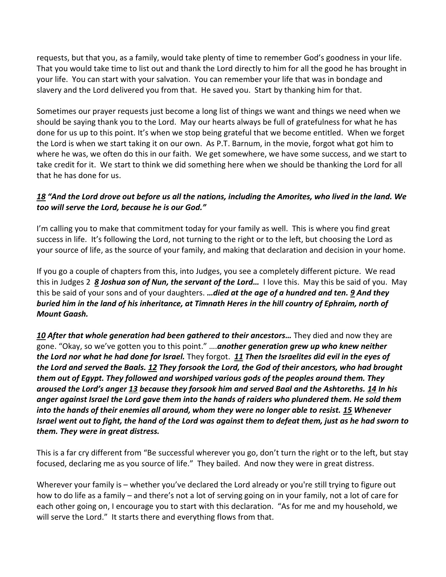requests, but that you, as a family, would take plenty of time to remember God's goodness in your life. That you would take time to list out and thank the Lord directly to him for all the good he has brought in your life. You can start with your salvation. You can remember your life that was in bondage and slavery and the Lord delivered you from that. He saved you. Start by thanking him for that.

Sometimes our prayer requests just become a long list of things we want and things we need when we should be saying thank you to the Lord. May our hearts always be full of gratefulness for what he has done for us up to this point. It's when we stop being grateful that we become entitled. When we forget the Lord is when we start taking it on our own. As P.T. Barnum, in the movie, forgot what got him to where he was, we often do this in our faith. We get somewhere, we have some success, and we start to take credit for it. We start to think we did something here when we should be thanking the Lord for all that he has done for us.

## *[18](https://www.studylight.org/desk/?q=jos%2024:18&t1=en_niv&sr=1) "And the Lord drove out before us all the nations, including the Amorites, who lived in the land. We too will serve the Lord, because he is our God."*

I'm calling you to make that commitment today for your family as well. This is where you find great success in life. It's following the Lord, not turning to the right or to the left, but choosing the Lord as your source of life, as the source of your family, and making that declaration and decision in your home.

If you go a couple of chapters from this, into Judges, you see a completely different picture. We read this in Judges 2 *[8](https://www.studylight.org/desk/?q=jud%202:8&t1=en_niv&sr=1) Joshua son of Nun, the servant of the Lord…* I love this. May this be said of you. May this be said of your sons and of your daughters. *…died at the age of a hundred and ten. [9](https://www.studylight.org/desk/?q=jud%202:9&t1=en_niv&sr=1) And they buried him in the land of his inheritance, at Timnath Heres in the hill country of Ephraim, north of Mount Gaash.*

*[10](https://www.studylight.org/desk/?q=jud%202:10&t1=en_niv&sr=1) After that whole generation had been gathered to their ancestors…* They died and now they are gone. "Okay, so we've gotten you to this point." ….*another generation grew up who knew neither the Lord nor what he had done for Israel.* They forgot. *[11](https://www.studylight.org/desk/?q=jud%202:11&t1=en_niv&sr=1) Then the Israelites did evil in the eyes of the Lord and served the Baals. [12](https://www.studylight.org/desk/?q=jud%202:12&t1=en_niv&sr=1) They forsook the Lord, the God of their ancestors, who had brought them out of Egypt. They followed and worshiped various gods of the peoples around them. They aroused the Lord's anger [13](https://www.studylight.org/desk/?q=jud%202:13&t1=en_niv&sr=1) because they forsook him and served Baal and the Ashtoreths. [14](https://www.studylight.org/desk/?q=jud%202:14&t1=en_niv&sr=1) In his anger against Israel the Lord gave them into the hands of raiders who plundered them. He sold them into the hands of their enemies all around, whom they were no longer able to resist. [15](https://www.studylight.org/desk/?q=jud%202:15&t1=en_niv&sr=1) Whenever Israel went out to fight, the hand of the Lord was against them to defeat them, just as he had sworn to them. They were in great distress.*

This is a far cry different from "Be successful wherever you go, don't turn the right or to the left, but stay focused, declaring me as you source of life." They bailed. And now they were in great distress.

Wherever your family is – whether you've declared the Lord already or you're still trying to figure out how to do life as a family – and there's not a lot of serving going on in your family, not a lot of care for each other going on, I encourage you to start with this declaration. "As for me and my household, we will serve the Lord." It starts there and everything flows from that.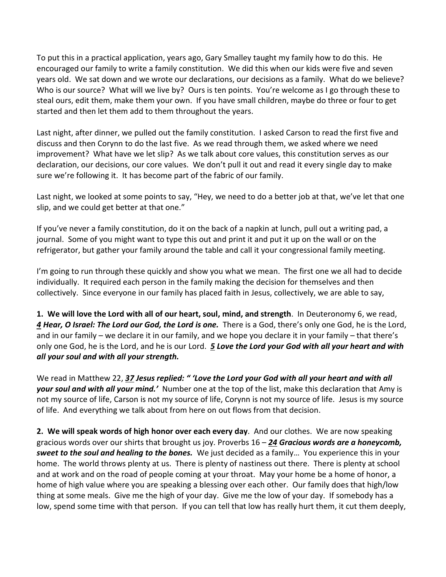To put this in a practical application, years ago, Gary Smalley taught my family how to do this. He encouraged our family to write a family constitution. We did this when our kids were five and seven years old. We sat down and we wrote our declarations, our decisions as a family. What do we believe? Who is our source? What will we live by? Ours is ten points. You're welcome as I go through these to steal ours, edit them, make them your own. If you have small children, maybe do three or four to get started and then let them add to them throughout the years.

Last night, after dinner, we pulled out the family constitution. I asked Carson to read the first five and discuss and then Corynn to do the last five. As we read through them, we asked where we need improvement? What have we let slip? As we talk about core values, this constitution serves as our declaration, our decisions, our core values. We don't pull it out and read it every single day to make sure we're following it. It has become part of the fabric of our family.

Last night, we looked at some points to say, "Hey, we need to do a better job at that, we've let that one slip, and we could get better at that one."

If you've never a family constitution, do it on the back of a napkin at lunch, pull out a writing pad, a journal. Some of you might want to type this out and print it and put it up on the wall or on the refrigerator, but gather your family around the table and call it your congressional family meeting.

I'm going to run through these quickly and show you what we mean. The first one we all had to decide individually. It required each person in the family making the decision for themselves and then collectively. Since everyone in our family has placed faith in Jesus, collectively, we are able to say,

**1. We will love the Lord with all of our heart, soul, mind, and strength**. In Deuteronomy 6, we read, *[4](https://www.studylight.org/desk/?q=de%206:4&t1=en_niv&sr=1) Hear, O Israel: The Lord our God, the Lord is one.* There is a God, there's only one God, he is the Lord, and in our family – we declare it in our family, and we hope you declare it in your family – that there's only one God, he is the Lord, and he is our Lord. *[5](https://www.studylight.org/desk/?q=de%206:5&t1=en_niv&sr=1) Love the Lord your God with all your heart and with all your soul and with all your strength.*

We read in Matthew 22, *[37](https://www.studylight.org/desk/?q=mt%2022:37&t1=en_niv&sr=1) Jesus replied: " 'Love the Lord your God with all your heart and with all your soul and with all your mind.'* Number one at the top of the list, make this declaration that Amy is not my source of life, Carson is not my source of life, Corynn is not my source of life. Jesus is my source of life. And everything we talk about from here on out flows from that decision.

**2. We will speak words of high honor over each every day**. And our clothes. We are now speaking gracious words over our shirts that brought us joy. Proverbs 16 – *[24](https://www.studylight.org/desk/?q=pr%2016:24&t1=en_niv&sr=1) Gracious words are a honeycomb, sweet to the soul and healing to the bones.* We just decided as a family… You experience this in your home. The world throws plenty at us. There is plenty of nastiness out there. There is plenty at school and at work and on the road of people coming at your throat. May your home be a home of honor, a home of high value where you are speaking a blessing over each other. Our family does that high/low thing at some meals. Give me the high of your day. Give me the low of your day. If somebody has a low, spend some time with that person. If you can tell that low has really hurt them, it cut them deeply,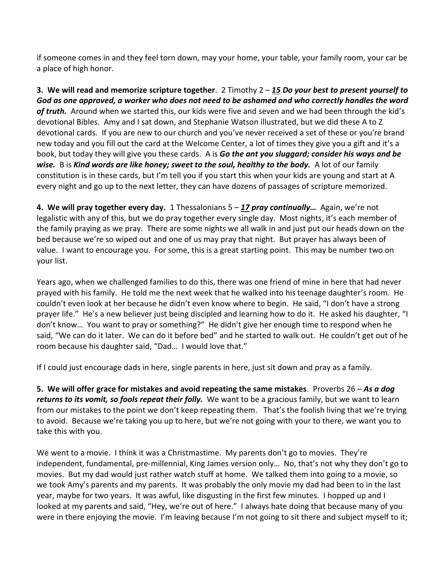if someone comes in and they feel torn down, may your home, your table, your family room, your car be a place of high honor.

**3. We will read and memorize scripture together**. 2 Timothy 2 – *[15](https://www.studylight.org/desk/?q=2ti%202:15&t1=en_niv&sr=1) Do your best to present yourself to God as one approved, a worker who does not need to be ashamed and who correctly handles the word of truth.* Around when we started this, our kids were five and seven and we had been through the kid's devotional Bibles. Amy and I sat down, and Stephanie Watson illustrated, but we did these A to Z devotional cards. If you are new to our church and you've never received a set of these or you're brand new today and you fill out the card at the Welcome Center, a lot of times they give you a gift and it's a book, but today they will give you these cards. A is *Go the ant you sluggard; consider his ways and be wise.* B is *Kind words are like honey; sweet to the soul, healthy to the body.* A lot of our family constitution is in these cards, but I'm tell you if you start this when your kids are young and start at A every night and go up to the next letter, they can have dozens of passages of scripture memorized.

**4. We will pray together every day.** 1 Thessalonians 5 – *[17](https://www.studylight.org/desk/?q=1th%205:17&t1=en_niv&sr=1) pray continually…*Again, we're not legalistic with any of this, but we do pray together every single day. Most nights, it's each member of the family praying as we pray. There are some nights we all walk in and just put our heads down on the bed because we're so wiped out and one of us may pray that night. But prayer has always been of value. I want to encourage you. For some, this is a great starting point. This may be number two on your list.

Years ago, when we challenged families to do this, there was one friend of mine in here that had never prayed with his family. He told me the next week that he walked into his teenage daughter's room. He couldn't even look at her because he didn't even know where to begin. He said, "I don't have a strong prayer life." He's a new believer just being discipled and learning how to do it. He asked his daughter, "I don't know… You want to pray or something?" He didn't give her enough time to respond when he said, "We can do it later. We can do it before bed" and he started to walk out. He couldn't get out of he room because his daughter said, "Dad… I would love that."

If I could just encourage dads in here, single parents in here, just sit down and pray as a family.

**5. We will offer grace for mistakes and avoid repeating the same mistakes**. Proverbs 26 – *As a dog returns to its vomit, so fools repeat their folly.* We want to be a gracious family, but we want to learn from our mistakes to the point we don't keep repeating them. That's the foolish living that we're trying to avoid. Because we're taking you up to here, but we're not going with your to there, we want you to take this with you.

We went to a movie. I think it was a Christmastime. My parents don't go to movies. They're independent, fundamental, pre-millennial, King James version only… No, that's not why they don't go to movies. But my dad would just rather watch stuff at home. We talked them into going to a movie, so we took Amy's parents and my parents. It was probably the only movie my dad had been to in the last year, maybe for two years. It was awful, like disgusting in the first few minutes. I hopped up and I looked at my parents and said, "Hey, we're out of here." I always hate doing that because many of you were in there enjoying the movie. I'm leaving because I'm not going to sit there and subject myself to it;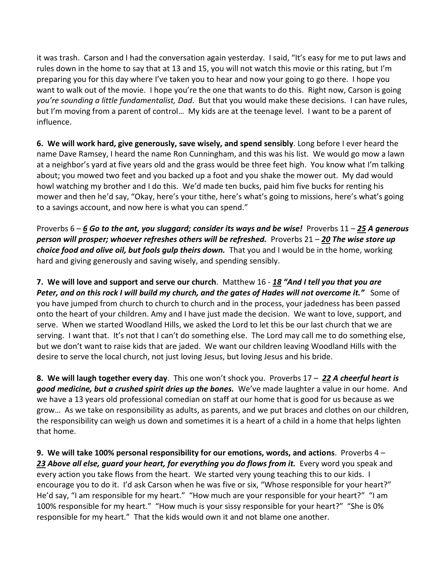it was trash. Carson and I had the conversation again yesterday. I said, "It's easy for me to put laws and rules down in the home to say that at 13 and 15, you will not watch this movie or this rating, but I'm preparing you for this day where I've taken you to hear and now your going to go there. I hope you want to walk out of the movie. I hope you're the one that wants to do this. Right now, Carson is going *you're sounding a little fundamentalist, Dad*. But that you would make these decisions. I can have rules, but I'm moving from a parent of control… My kids are at the teenage level. I want to be a parent of influence.

**6. We will work hard, give generously, save wisely, and spend sensibly**. Long before I ever heard the name Dave Ramsey, I heard the name Ron Cunningham, and this was his list. We would go mow a lawn at a neighbor's yard at five years old and the grass would be three feet high. You know what I'm talking about; you mowed two feet and you backed up a foot and you shake the mower out. My dad would howl watching my brother and I do this. We'd made ten bucks, paid him five bucks for renting his mower and then he'd say, "Okay, here's your tithe, here's what's going to missions, here's what's going to a savings account, and now here is what you can spend."

Proverbs 6 – *[6](https://www.studylight.org/desk/?q=pr%206:6&t1=en_niv&sr=1) Go to the ant, you sluggard; consider its ways and be wise!* Proverbs 11 – *[25](https://www.studylight.org/desk/?q=pr%2011:25&t1=en_niv&sr=1) A generous person will prosper; whoever refreshes others will be refreshed.* Proverbs 21 – *[20](https://www.studylight.org/desk/?q=pr%2021:20&t1=en_niv&sr=1) The wise store up choice food and olive oil, but fools gulp theirs down.* That you and I would be in the home, working hard and giving generously and saving wisely, and spending sensibly.

**7. We will love and support and serve our church**. Matthew 16 - *[18](https://www.studylight.org/desk/?q=mt%2016:18&t1=en_niv&sr=1) "And I tell you that you are*  **Peter, and on this rock I will build my church, and the gates of Hades will not overcome it.<sup>"</sup> Some of** you have jumped from church to church to church and in the process, your jadedness has been passed onto the heart of your children. Amy and I have just made the decision. We want to love, support, and serve. When we started Woodland Hills, we asked the Lord to let this be our last church that we are serving. I want that. It's not that I can't do something else. The Lord may call me to do something else, but we don't want to raise kids that are jaded. We want our children leaving Woodland Hills with the desire to serve the local church, not just loving Jesus, but loving Jesus and his bride.

**8. We will laugh together every day**. This one won't shock you. Proverbs 17 – *[22](https://www.studylight.org/desk/?q=pr%2017:22&t1=en_niv&sr=1) A cheerful heart is good medicine, but a crushed spirit dries up the bones.* We've made laughter a value in our home. And we have a 13 years old professional comedian on staff at our home that is good for us because as we grow… As we take on responsibility as adults, as parents, and we put braces and clothes on our children, the responsibility can weigh us down and sometimes it is a heart of a child in a home that helps lighten that home.

**9. We will take 100% personal responsibility for our emotions, words, and actions**. Proverbs 4 – *[23](https://www.studylight.org/desk/?q=pr%204:23&t1=en_niv&sr=1) Above all else, guard your heart, for everything you do flows from it.* Every word you speak and every action you take flows from the heart. We started very young teaching this to our kids. I encourage you to do it. I'd ask Carson when he was five or six, "Whose responsible for your heart?" He'd say, "I am responsible for my heart." "How much are your responsible for your heart?" "I am 100% responsible for my heart." "How much is your sissy responsible for your heart?" "She is 0% responsible for my heart." That the kids would own it and not blame one another.